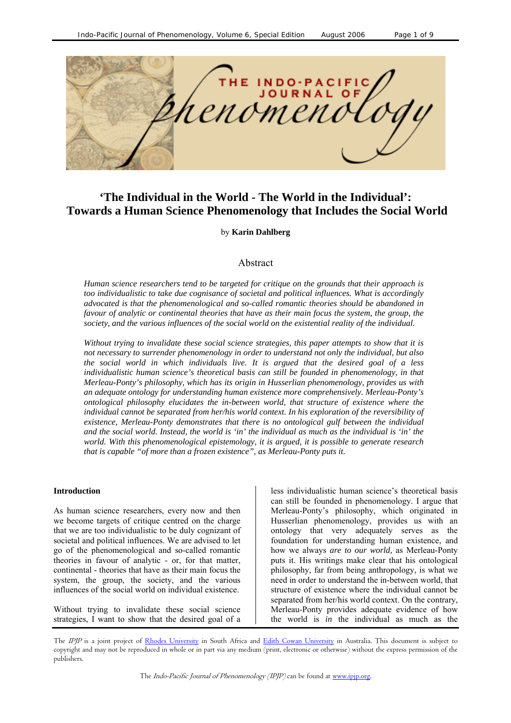

# **'The Individual in the World - The World in the Individual': Towards a Human Science Phenomenology that Includes the Social World**

by **Karin Dahlberg**

# Abstract

*Human science researchers tend to be targeted for critique on the grounds that their approach is too individualistic to take due cognisance of societal and political influences. What is accordingly advocated is that the phenomenological and so-called romantic theories should be abandoned in favour of analytic or continental theories that have as their main focus the system, the group, the society, and the various influences of the social world on the existential reality of the individual.* 

*Without trying to invalidate these social science strategies, this paper attempts to show that it is not necessary to surrender phenomenology in order to understand not only the individual, but also the social world in which individuals live. It is argued that the desired goal of a less individualistic human science's theoretical basis can still be founded in phenomenology, in that Merleau-Ponty's philosophy, which has its origin in Husserlian phenomenology, provides us with an adequate ontology for understanding human existence more comprehensively. Merleau-Ponty's ontological philosophy elucidates the in-between world, that structure of existence where the individual cannot be separated from her/his world context. In his exploration of the reversibility of existence, Merleau-Ponty demonstrates that there is no ontological gulf between the individual and the social world. Instead, the world is 'in' the individual as much as the individual is 'in' the world. With this phenomenological epistemology, it is argued, it is possible to generate research that is capable "of more than a frozen existence", as Merleau-Ponty puts it.* 

#### **Introduction**

As human science researchers, every now and then we become targets of critique centred on the charge that we are too individualistic to be duly cognizant of societal and political influences. We are advised to let go of the phenomenological and so-called romantic theories in favour of analytic - or, for that matter, continental - theories that have as their main focus the system, the group, the society, and the various influences of the social world on individual existence.

Without trying to invalidate these social science strategies, I want to show that the desired goal of a less individualistic human science's theoretical basis can still be founded in phenomenology. I argue that Merleau-Ponty's philosophy, which originated in Husserlian phenomenology, provides us with an ontology that very adequately serves as the foundation for understanding human existence, and how we always *are to our world,* as Merleau-Ponty puts it. His writings make clear that his ontological philosophy, far from being anthropology, is what we need in order to understand the in-between world, that structure of existence where the individual cannot be separated from her/his world context. On the contrary, Merleau-Ponty provides adequate evidence of how the world is *in* the individual as much as the

The IPJP is a joint project of Rhodes University in South Africa and Edith Cowan University in Australia. This document is subject to copyright and may not be reproduced in whole or in part via any medium (print, electronic or otherwise) without the express permission of the publishers.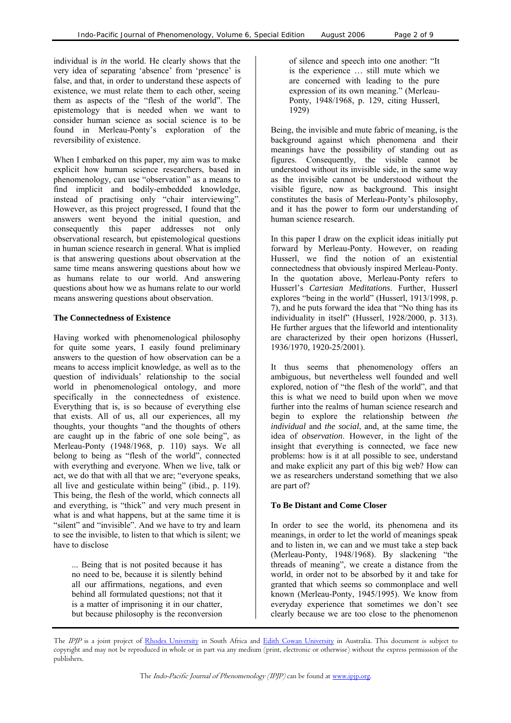individual is *in* the world. He clearly shows that the very idea of separating 'absence' from 'presence' is false, and that, in order to understand these aspects of existence, we must relate them to each other, seeing them as aspects of the "flesh of the world". The epistemology that is needed when we want to consider human science as social science is to be found in Merleau-Ponty's exploration of the reversibility of existence.

When I embarked on this paper, my aim was to make explicit how human science researchers, based in phenomenology, can use "observation" as a means to find implicit and bodily-embedded knowledge, instead of practising only "chair interviewing". However, as this project progressed, I found that the answers went beyond the initial question, and consequently this paper addresses not only observational research, but epistemological questions in human science research in general. What is implied is that answering questions about observation at the same time means answering questions about how we as humans relate to our world. And answering questions about how we as humans relate to our world means answering questions about observation.

# **The Connectedness of Existence**

Having worked with phenomenological philosophy for quite some years, I easily found preliminary answers to the question of how observation can be a means to access implicit knowledge, as well as to the question of individuals' relationship to the social world in phenomenological ontology, and more specifically in the connectedness of existence. Everything that is, is so because of everything else that exists. All of us, all our experiences, all my thoughts, your thoughts "and the thoughts of others are caught up in the fabric of one sole being", as Merleau-Ponty (1948/1968, p. 110) says. We all belong to being as "flesh of the world", connected with everything and everyone. When we live, talk or act, we do that with all that we are; "everyone speaks, all live and gesticulate within being" (ibid., p. 119). This being, the flesh of the world, which connects all and everything, is "thick" and very much present in what is and what happens, but at the same time it is "silent" and "invisible". And we have to try and learn to see the invisible, to listen to that which is silent; we have to disclose

... Being that is not posited because it has no need to be, because it is silently behind all our affirmations, negations, and even behind all formulated questions; not that it is a matter of imprisoning it in our chatter, but because philosophy is the reconversion

of silence and speech into one another: "It is the experience … still mute which we are concerned with leading to the pure expression of its own meaning." (Merleau-Ponty, 1948/1968, p. 129, citing Husserl, 1929)

Being, the invisible and mute fabric of meaning, is the background against which phenomena and their meanings have the possibility of standing out as figures. Consequently, the visible cannot be understood without its invisible side, in the same way as the invisible cannot be understood without the visible figure, now as background. This insight constitutes the basis of Merleau-Ponty's philosophy, and it has the power to form our understanding of human science research.

In this paper I draw on the explicit ideas initially put forward by Merleau-Ponty. However, on reading Husserl, we find the notion of an existential connectedness that obviously inspired Merleau-Ponty. In the quotation above, Merleau-Ponty refers to Husserl's *Cartesian Meditations*. Further, Husserl explores "being in the world" (Husserl, 1913/1998, p. 7), and he puts forward the idea that "No thing has its individuality in itself" (Husserl, 1928/2000, p. 313). He further argues that the lifeworld and intentionality are characterized by their open horizons (Husserl, 1936/1970, 1920-25/2001).

It thus seems that phenomenology offers an ambiguous, but nevertheless well founded and well explored, notion of "the flesh of the world", and that this is what we need to build upon when we move further into the realms of human science research and begin to explore the relationship between *the individual* and *the social*, and, at the same time, the idea of *observation*. However, in the light of the insight that everything is connected, we face new problems: how is it at all possible to see, understand and make explicit any part of this big web? How can we as researchers understand something that we also are part of?

# **To Be Distant and Come Closer**

In order to see the world, its phenomena and its meanings, in order to let the world of meanings speak and to listen in, we can and we must take a step back (Merleau-Ponty, 1948/1968). By slackening "the threads of meaning", we create a distance from the world, in order not to be absorbed by it and take for granted that which seems so commonplace and well known (Merleau-Ponty, 1945/1995). We know from everyday experience that sometimes we don't see clearly because we are too close to the phenomenon

The IPJP is a joint project of Rhodes University in South Africa and Edith Cowan University in Australia. This document is subject to copyright and may not be reproduced in whole or in part via any medium (print, electronic or otherwise) without the express permission of the publishers.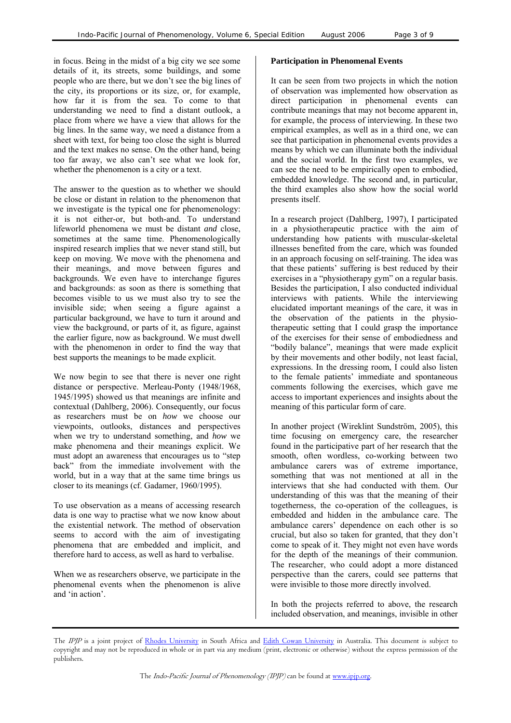in focus. Being in the midst of a big city we see some details of it, its streets, some buildings, and some people who are there, but we don't see the big lines of the city, its proportions or its size, or, for example, how far it is from the sea. To come to that understanding we need to find a distant outlook, a place from where we have a view that allows for the big lines. In the same way, we need a distance from a sheet with text, for being too close the sight is blurred and the text makes no sense. On the other hand, being too far away, we also can't see what we look for, whether the phenomenon is a city or a text.

The answer to the question as to whether we should be close or distant in relation to the phenomenon that we investigate is the typical one for phenomenology: it is not either-or, but both-and. To understand lifeworld phenomena we must be distant *and* close, sometimes at the same time. Phenomenologically inspired research implies that we never stand still, but keep on moving. We move with the phenomena and their meanings, and move between figures and backgrounds. We even have to interchange figures and backgrounds: as soon as there is something that becomes visible to us we must also try to see the invisible side; when seeing a figure against a particular background, we have to turn it around and view the background, or parts of it, as figure, against the earlier figure, now as background. We must dwell with the phenomenon in order to find the way that best supports the meanings to be made explicit.

We now begin to see that there is never one right distance or perspective. Merleau-Ponty (1948/1968, 1945/1995) showed us that meanings are infinite and contextual (Dahlberg, 2006). Consequently, our focus as researchers must be on *how* we choose our viewpoints, outlooks, distances and perspectives when we try to understand something, and *how* we make phenomena and their meanings explicit. We must adopt an awareness that encourages us to "step back" from the immediate involvement with the world, but in a way that at the same time brings us closer to its meanings (cf. Gadamer, 1960/1995).

To use observation as a means of accessing research data is one way to practise what we now know about the existential network. The method of observation seems to accord with the aim of investigating phenomena that are embedded and implicit, and therefore hard to access, as well as hard to verbalise.

When we as researchers observe, we participate in the phenomenal events when the phenomenon is alive and 'in action'.

# **Participation in Phenomenal Events**

It can be seen from two projects in which the notion of observation was implemented how observation as direct participation in phenomenal events can contribute meanings that may not become apparent in, for example, the process of interviewing. In these two empirical examples, as well as in a third one, we can see that participation in phenomenal events provides a means by which we can illuminate both the individual and the social world. In the first two examples, we can see the need to be empirically open to embodied, embedded knowledge. The second and, in particular, the third examples also show how the social world presents itself.

In a research project (Dahlberg, 1997), I participated in a physiotherapeutic practice with the aim of understanding how patients with muscular-skeletal illnesses benefited from the care, which was founded in an approach focusing on self-training. The idea was that these patients' suffering is best reduced by their exercises in a "physiotherapy gym" on a regular basis. Besides the participation, I also conducted individual interviews with patients. While the interviewing elucidated important meanings of the care, it was in the observation of the patients in the physiotherapeutic setting that I could grasp the importance of the exercises for their sense of embodiedness and "bodily balance", meanings that were made explicit by their movements and other bodily, not least facial, expressions. In the dressing room, I could also listen to the female patients' immediate and spontaneous comments following the exercises, which gave me access to important experiences and insights about the meaning of this particular form of care.

In another project (Wireklint Sundström, 2005), this time focusing on emergency care, the researcher found in the participative part of her research that the smooth, often wordless, co-working between two ambulance carers was of extreme importance, something that was not mentioned at all in the interviews that she had conducted with them. Our understanding of this was that the meaning of their togetherness, the co-operation of the colleagues, is embedded and hidden in the ambulance care. The ambulance carers' dependence on each other is so crucial, but also so taken for granted, that they don't come to speak of it. They might not even have words for the depth of the meanings of their communion. The researcher, who could adopt a more distanced perspective than the carers, could see patterns that were invisible to those more directly involved.

In both the projects referred to above, the research included observation, and meanings, invisible in other

The IPJP is a joint project of Rhodes University in South Africa and Edith Cowan University in Australia. This document is subject to copyright and may not be reproduced in whole or in part via any medium (print, electronic or otherwise) without the express permission of the publishers.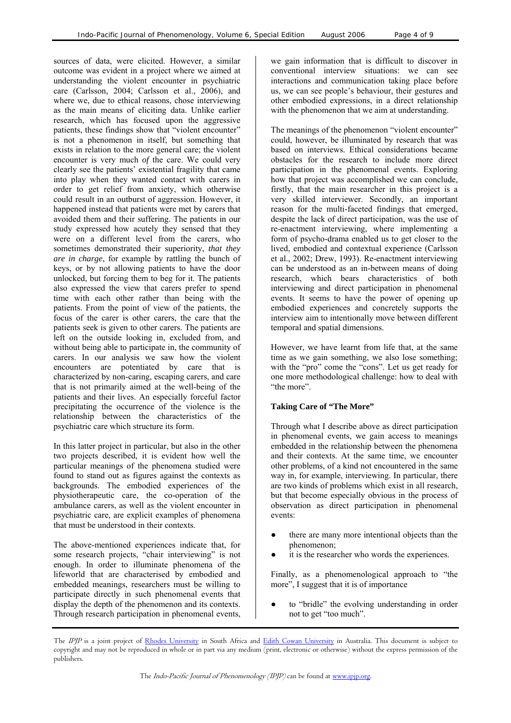sources of data, were elicited. However, a similar outcome was evident in a project where we aimed at understanding the violent encounter in psychiatric care (Carlsson, 2004; Carlsson et al., 2006), and where we, due to ethical reasons, chose interviewing as the main means of eliciting data. Unlike earlier research, which has focused upon the aggressive patients, these findings show that "violent encounter" is not a phenomenon in itself, but something that exists in relation to the more general care; the violent encounter is very much *of* the care. We could very clearly see the patients' existential fragility that came into play when they wanted contact with carers in order to get relief from anxiety, which otherwise could result in an outburst of aggression. However, it happened instead that patients were met by carers that avoided them and their suffering. The patients in our study expressed how acutely they sensed that they were on a different level from the carers, who sometimes demonstrated their superiority, *that they are in charge*, for example by rattling the bunch of keys, or by not allowing patients to have the door unlocked, but forcing them to beg for it. The patients also expressed the view that carers prefer to spend time with each other rather than being with the patients. From the point of view of the patients, the focus of the carer is other carers, the care that the patients seek is given to other carers. The patients are left on the outside looking in, excluded from, and without being able to participate in, the community of carers. In our analysis we saw how the violent encounters are potentiated by care that is characterized by non-caring, escaping carers, and care that is not primarily aimed at the well-being of the patients and their lives. An especially forceful factor precipitating the occurrence of the violence is the relationship between the characteristics of the psychiatric care which structure its form.

In this latter project in particular, but also in the other two projects described, it is evident how well the particular meanings of the phenomena studied were found to stand out as figures against the contexts as backgrounds. The embodied experiences of the physiotherapeutic care, the co-operation of the ambulance carers, as well as the violent encounter in psychiatric care, are explicit examples of phenomena that must be understood in their contexts.

The above-mentioned experiences indicate that, for some research projects, "chair interviewing" is not enough. In order to illuminate phenomena of the lifeworld that are characterised by embodied and embedded meanings, researchers must be willing to participate directly in such phenomenal events that display the depth of the phenomenon and its contexts. Through research participation in phenomenal events,

we gain information that is difficult to discover in conventional interview situations: we can see interactions and communication taking place before us, we can see people's behaviour, their gestures and other embodied expressions, in a direct relationship with the phenomenon that we aim at understanding.

The meanings of the phenomenon "violent encounter" could, however, be illuminated by research that was based on interviews. Ethical considerations became obstacles for the research to include more direct participation in the phenomenal events. Exploring how that project was accomplished we can conclude, firstly, that the main researcher in this project is a very skilled interviewer. Secondly, an important reason for the multi-faceted findings that emerged, despite the lack of direct participation, was the use of re-enactment interviewing, where implementing a form of psycho-drama enabled us to get closer to the lived, embodied and contextual experience (Carlsson et al., 2002; Drew, 1993). Re-enactment interviewing can be understood as an in-between means of doing research, which bears characteristics of both interviewing and direct participation in phenomenal events. It seems to have the power of opening up embodied experiences and concretely supports the interview aim to intentionally move between different temporal and spatial dimensions.

However, we have learnt from life that, at the same time as we gain something, we also lose something; with the "pro" come the "cons". Let us get ready for one more methodological challenge: how to deal with "the more".

# **Taking Care of "The More"**

Through what I describe above as direct participation in phenomenal events, we gain access to meanings embedded in the relationship between the phenomena and their contexts. At the same time, we encounter other problems, of a kind not encountered in the same way in, for example, interviewing. In particular, there are two kinds of problems which exist in all research, but that become especially obvious in the process of observation as direct participation in phenomenal events:

- there are many more intentional objects than the phenomenon;
- it is the researcher who words the experiences.

Finally, as a phenomenological approach to "the more", I suggest that it is of importance

to "bridle" the evolving understanding in order not to get "too much".

The IPJP is a joint project of Rhodes University in South Africa and Edith Cowan University in Australia. This document is subject to copyright and may not be reproduced in whole or in part via any medium (print, electronic or otherwise) without the express permission of the publishers.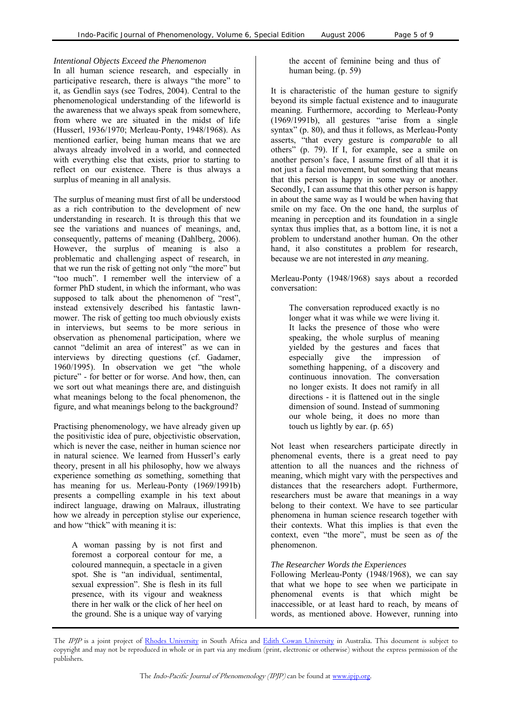# *Intentional Objects Exceed the Phenomenon*

In all human science research, and especially in participative research, there is always "the more" to it, as Gendlin says (see Todres, 2004). Central to the phenomenological understanding of the lifeworld is the awareness that we always speak from somewhere, from where we are situated in the midst of life (Husserl, 1936/1970; Merleau-Ponty, 1948/1968). As mentioned earlier, being human means that we are always already involved in a world, and connected with everything else that exists, prior to starting to reflect on our existence. There is thus always a surplus of meaning in all analysis.

The surplus of meaning must first of all be understood as a rich contribution to the development of new understanding in research. It is through this that we see the variations and nuances of meanings, and, consequently, patterns of meaning (Dahlberg, 2006). However, the surplus of meaning is also a problematic and challenging aspect of research, in that we run the risk of getting not only "the more" but "too much". I remember well the interview of a former PhD student, in which the informant, who was supposed to talk about the phenomenon of "rest". instead extensively described his fantastic lawnmower. The risk of getting too much obviously exists in interviews, but seems to be more serious in observation as phenomenal participation, where we cannot "delimit an area of interest" as we can in interviews by directing questions (cf. Gadamer, 1960/1995). In observation we get "the whole picture" - for better or for worse. And how, then, can we sort out what meanings there are, and distinguish what meanings belong to the focal phenomenon, the figure, and what meanings belong to the background?

Practising phenomenology, we have already given up the positivistic idea of pure, objectivistic observation, which is never the case, neither in human science nor in natural science. We learned from Husserl's early theory, present in all his philosophy, how we always experience something *as* something, something that has meaning for us. Merleau-Ponty (1969/1991b) presents a compelling example in his text about indirect language, drawing on Malraux, illustrating how we already in perception stylise our experience, and how "thick" with meaning it is:

A woman passing by is not first and foremost a corporeal contour for me, a coloured mannequin, a spectacle in a given spot. She is "an individual, sentimental, sexual expression". She is flesh in its full presence, with its vigour and weakness there in her walk or the click of her heel on the ground. She is a unique way of varying

the accent of feminine being and thus of human being. (p. 59)

It is characteristic of the human gesture to signify beyond its simple factual existence and to inaugurate meaning. Furthermore, according to Merleau-Ponty (1969/1991b), all gestures "arise from a single syntax" (p. 80), and thus it follows, as Merleau-Ponty asserts, "that every gesture is *comparable* to all others" (p. 79). If I, for example, see a smile on another person's face, I assume first of all that it is not just a facial movement, but something that means that this person is happy in some way or another. Secondly, I can assume that this other person is happy in about the same way as I would be when having that smile on my face. On the one hand, the surplus of meaning in perception and its foundation in a single syntax thus implies that, as a bottom line, it is not a problem to understand another human. On the other hand, it also constitutes a problem for research, because we are not interested in *any* meaning.

Merleau-Ponty (1948/1968) says about a recorded conversation:

The conversation reproduced exactly is no longer what it was while we were living it. It lacks the presence of those who were speaking, the whole surplus of meaning yielded by the gestures and faces that especially give the impression of something happening, of a discovery and continuous innovation. The conversation no longer exists. It does not ramify in all directions - it is flattened out in the single dimension of sound. Instead of summoning our whole being, it does no more than touch us lightly by ear. (p. 65)

Not least when researchers participate directly in phenomenal events, there is a great need to pay attention to all the nuances and the richness of meaning, which might vary with the perspectives and distances that the researchers adopt. Furthermore, researchers must be aware that meanings in a way belong to their context. We have to see particular phenomena in human science research together with their contexts. What this implies is that even the context, even "the more", must be seen as *of* the phenomenon.

# *The Researcher Words the Experiences*

Following Merleau-Ponty (1948/1968), we can say that what we hope to see when we participate in phenomenal events is that which might be inaccessible, or at least hard to reach, by means of words, as mentioned above. However, running into

The IPJP is a joint project of Rhodes University in South Africa and Edith Cowan University in Australia. This document is subject to copyright and may not be reproduced in whole or in part via any medium (print, electronic or otherwise) without the express permission of the publishers.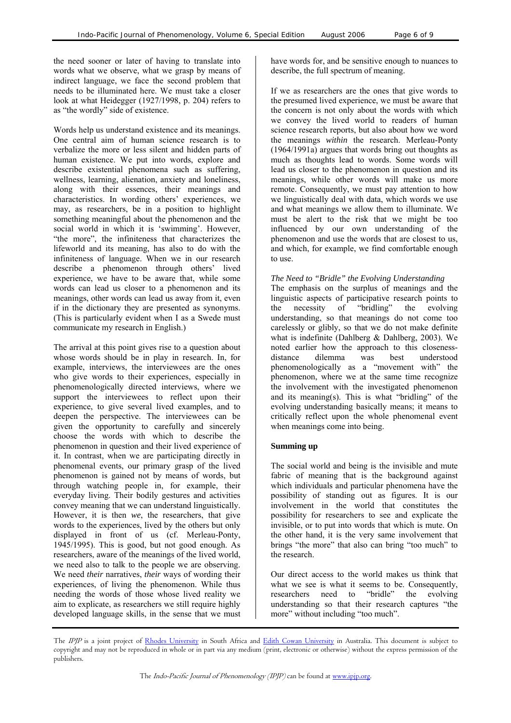the need sooner or later of having to translate into words what we observe, what we grasp by means of indirect language, we face the second problem that needs to be illuminated here. We must take a closer look at what Heidegger (1927/1998, p. 204) refers to as "the wordly" side of existence.

Words help us understand existence and its meanings. One central aim of human science research is to verbalize the more or less silent and hidden parts of human existence. We put into words, explore and describe existential phenomena such as suffering, wellness, learning, alienation, anxiety and loneliness, along with their essences, their meanings and characteristics. In wording others' experiences, we may, as researchers, be in a position to highlight something meaningful about the phenomenon and the social world in which it is 'swimming'. However, "the more", the infiniteness that characterizes the lifeworld and its meaning, has also to do with the infiniteness of language. When we in our research describe a phenomenon through others' lived experience, we have to be aware that, while some words can lead us closer to a phenomenon and its meanings, other words can lead us away from it, even if in the dictionary they are presented as synonyms. (This is particularly evident when I as a Swede must communicate my research in English.)

The arrival at this point gives rise to a question about whose words should be in play in research. In, for example, interviews, the interviewees are the ones who give words to their experiences, especially in phenomenologically directed interviews, where we support the interviewees to reflect upon their experience, to give several lived examples, and to deepen the perspective. The interviewees can be given the opportunity to carefully and sincerely choose the words with which to describe the phenomenon in question and their lived experience of it. In contrast, when we are participating directly in phenomenal events, our primary grasp of the lived phenomenon is gained not by means of words, but through watching people in, for example, their everyday living. Their bodily gestures and activities convey meaning that we can understand linguistically. However, it is then *we*, the researchers, that give words to the experiences, lived by the others but only displayed in front of us (cf. Merleau-Ponty, 1945/1995). This is good, but not good enough. As researchers, aware of the meanings of the lived world, we need also to talk to the people we are observing. We need *their* narratives, *their* ways of wording their experiences, of living the phenomenon. While thus needing the words of those whose lived reality we aim to explicate, as researchers we still require highly developed language skills, in the sense that we must

have words for, and be sensitive enough to nuances to describe, the full spectrum of meaning.

If we as researchers are the ones that give words to the presumed lived experience, we must be aware that the concern is not only about the words with which we convey the lived world to readers of human science research reports, but also about how we word the meanings *within* the research. Merleau-Ponty (1964/1991a) argues that words bring out thoughts as much as thoughts lead to words. Some words will lead us closer to the phenomenon in question and its meanings, while other words will make us more remote. Consequently, we must pay attention to how we linguistically deal with data, which words we use and what meanings we allow them to illuminate. We must be alert to the risk that we might be too influenced by our own understanding of the phenomenon and use the words that are closest to us, and which, for example, we find comfortable enough to use.

### *The Need to "Bridle" the Evolving Understanding*

The emphasis on the surplus of meanings and the linguistic aspects of participative research points to the necessity of "bridling" the evolving understanding, so that meanings do not come too carelessly or glibly, so that we do not make definite what is indefinite (Dahlberg & Dahlberg, 2003). We noted earlier how the approach to this closenessdistance dilemma was best understood phenomenologically as a "movement with" the phenomenon, where we at the same time recognize the involvement with the investigated phenomenon and its meaning(s). This is what "bridling" of the evolving understanding basically means; it means to critically reflect upon the whole phenomenal event when meanings come into being.

# **Summing up**

The social world and being is the invisible and mute fabric of meaning that is the background against which individuals and particular phenomena have the possibility of standing out as figures. It is our involvement in the world that constitutes the possibility for researchers to see and explicate the invisible, or to put into words that which is mute. On the other hand, it is the very same involvement that brings "the more" that also can bring "too much" to the research.

Our direct access to the world makes us think that what we see is what it seems to be. Consequently, researchers need to "bridle" the evolving understanding so that their research captures "the more" without including "too much".

The IPJP is a joint project of Rhodes University in South Africa and Edith Cowan University in Australia. This document is subject to copyright and may not be reproduced in whole or in part via any medium (print, electronic or otherwise) without the express permission of the publishers.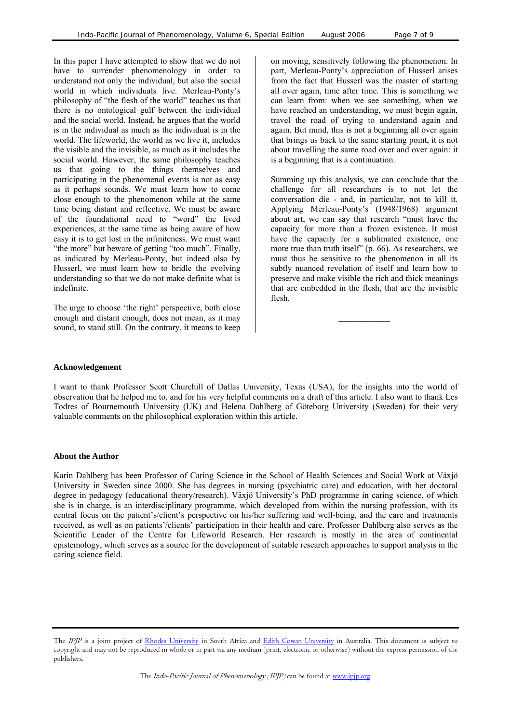In this paper I have attempted to show that we do not have to surrender phenomenology in order to understand not only the individual, but also the social world in which individuals live. Merleau-Ponty's philosophy of "the flesh of the world" teaches us that there is no ontological gulf between the individual and the social world. Instead, he argues that the world is in the individual as much as the individual is in the world. The lifeworld, the world as we live it, includes the visible and the invisible, as much as it includes the social world. However, the same philosophy teaches us that going to the things themselves and participating in the phenomenal events is not as easy as it perhaps sounds. We must learn how to come close enough to the phenomenon while at the same time being distant and reflective. We must be aware of the foundational need to "word" the lived experiences, at the same time as being aware of how easy it is to get lost in the infiniteness. We must want "the more" but beware of getting "too much". Finally, as indicated by Merleau-Ponty, but indeed also by Husserl, we must learn how to bridle the evolving understanding so that we do not make definite what is indefinite.

The urge to choose 'the right' perspective, both close enough and distant enough, does not mean, as it may sound, to stand still. On the contrary, it means to keep on moving, sensitively following the phenomenon. In part, Merleau-Ponty's appreciation of Husserl arises from the fact that Husserl was the master of starting all over again, time after time. This is something we can learn from: when we see something, when we have reached an understanding, we must begin again, travel the road of trying to understand again and again. But mind, this is not a beginning all over again that brings us back to the same starting point, it is not about travelling the same road over and over again: it is a beginning that is a continuation.

Summing up this analysis, we can conclude that the challenge for all researchers is to not let the conversation die - and, in particular, not to kill it. Applying Merleau-Ponty's (1948/1968) argument about art, we can say that research "must have the capacity for more than a frozen existence. It must have the capacity for a sublimated existence, one more true than truth itself" (p. 66). As researchers, we must thus be sensitive to the phenomenon in all its subtly nuanced revelation of itself and learn how to preserve and make visible the rich and thick meanings that are embedded in the flesh, that are the invisible flesh.

**\_\_\_\_\_\_\_\_\_\_\_\_**

#### **Acknowledgement**

I want to thank Professor Scott Churchill of Dallas University, Texas (USA), for the insights into the world of observation that he helped me to, and for his very helpful comments on a draft of this article. I also want to thank Les Todres of Bournemouth University (UK) and Helena Dahlberg of Göteborg University (Sweden) for their very valuable comments on the philosophical exploration within this article.

#### **About the Author**

Karin Dahlberg has been Professor of Caring Science in the School of Health Sciences and Social Work at Växjö University in Sweden since 2000. She has degrees in nursing (psychiatric care) and education, with her doctoral degree in pedagogy (educational theory/research). Växjö University's PhD programme in caring science, of which she is in charge, is an interdisciplinary programme, which developed from within the nursing profession, with its central focus on the patient's/client's perspective on his/her suffering and well-being, and the care and treatments received, as well as on patients'/clients' participation in their health and care. Professor Dahlberg also serves as the Scientific Leader of the Centre for Lifeworld Research. Her research is mostly in the area of continental epistemology, which serves as a source for the development of suitable research approaches to support analysis in the caring science field.

The IPJP is a joint project of Rhodes University in South Africa and Edith Cowan University in Australia. This document is subject to copyright and may not be reproduced in whole or in part via any medium (print, electronic or otherwise) without the express permission of the publishers.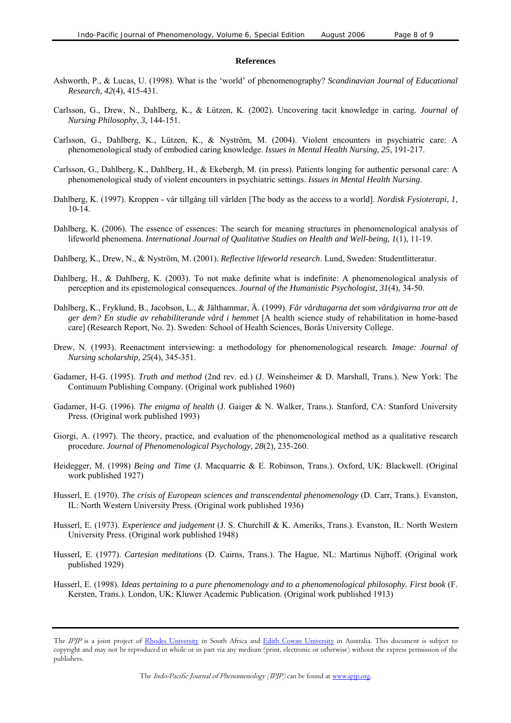- Ashworth, P., & Lucas, U. (1998). What is the 'world' of phenomenography? *Scandinavian Journal of Educational Research, 42*(4), 415-431.
- Carlsson, G., Drew, N., Dahlberg, K., & Lützen, K. (2002). Uncovering tacit knowledge in caring*. Journal of Nursing Philosophy*, *3*, 144-151.
- Carlsson, G., Dahlberg, K., Lützen, K., & Nyström, M. (2004). Violent encounters in psychiatric care: A phenomenological study of embodied caring knowledge. *Issues in Mental Health Nursing*, *25*, 191-217.
- Carlsson, G., Dahlberg, K., Dahlberg, H., & Ekebergh, M. (in press). Patients longing for authentic personal care: A phenomenological study of violent encounters in psychiatric settings. *Issues in Mental Health Nursing*.
- Dahlberg, K. (1997). Kroppen vår tillgång till världen [The body as the access to a world]. *Nordisk Fysioterapi*, *1*, 10-14.
- Dahlberg, K. (2006). The essence of essences: The search for meaning structures in phenomenological analysis of lifeworld phenomena. *International Journal of Qualitative Studies on Health and Well-being, 1*(1), 11-19.
- Dahlberg, K., Drew, N., & Nyström, M. (2001). *Reflective lifeworld research*. Lund, Sweden: Studentlitteratur.
- Dahlberg, H., & Dahlberg, K. (2003). To not make definite what is indefinite: A phenomenological analysis of perception and its epistemological consequences. *Journal of the Humanistic Psychologist, 31*(4), 34-50.
- Dahlberg, K., Fryklund, B., Jacobson, L., & Jälthammar, Å. (1999). *Får vårdtagarna det som vårdgivarna tror att de ger dem? En studie av rehabiliterande vård i hemmet* [A health science study of rehabilitation in home-based care] (Research Report, No. 2). Sweden: School of Health Sciences, Borås University College.
- Drew, N. (1993). Reenactment interviewing: a methodology for phenomenological research. *Image: Journal of Nursing scholarship, 25*(4), 345-351.
- Gadamer, H-G. (1995). *Truth and method* (2nd rev. ed.) (J. Weinsheimer & D. Marshall, Trans.). New York: The Continuum Publishing Company. (Original work published 1960)
- Gadamer, H-G. (1996). *The enigma of health* (J. Gaiger & N. Walker, Trans.). Stanford, CA: Stanford University Press. (Original work published 1993)
- Giorgi, A. (1997). The theory, practice, and evaluation of the phenomenological method as a qualitative research procedure. *Journal of Phenomenological Psychology*, *28*(2), 235-260.
- Heidegger, M. (1998) *Being and Time* (J. Macquarrie & E. Robinson, Trans.). Oxford, UK: Blackwell. (Original work published 1927)
- Husserl, E. (1970). *The crisis of European sciences and transcendental phenomenology* (D. Carr, Trans.). Evanston, IL: North Western University Press. (Original work published 1936)
- Husserl, E. (1973). *Experience and judgement* (J. S. Churchill & K. Ameriks, Trans.). Evanston, IL: North Western University Press. (Original work published 1948)
- Husserl, E. (1977). *Cartesian meditations* (D. Cairns, Trans.). The Hague, NL: Martinus Nijhoff. (Original work published 1929)
- Husserl, E. (1998). *Ideas pertaining to a pure phenomenology and to a phenomenological philosophy. First book* (F. Kersten, Trans.)*.* London, UK: Kluwer Academic Publication. (Original work published 1913)

The IPJP is a joint project of Rhodes University in South Africa and Edith Cowan University in Australia. This document is subject to copyright and may not be reproduced in whole or in part via any medium (print, electronic or otherwise) without the express permission of the publishers.